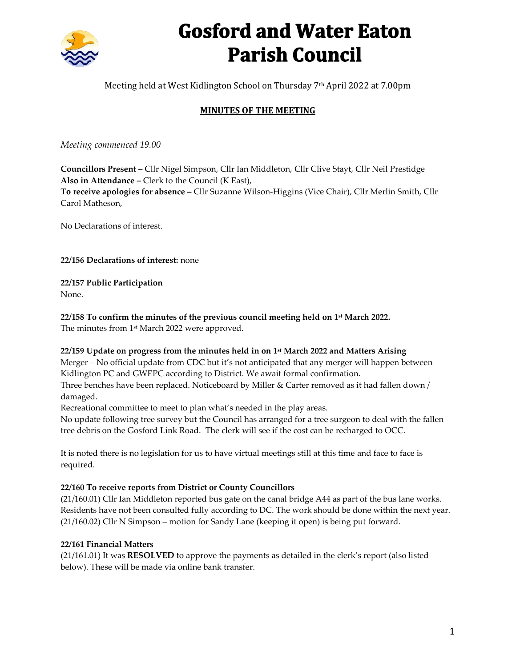

# **Gosford and Water Eaton Parish Council**

Meeting held at West Kidlington School on Thursday 7<sup>th</sup> April 2022 at 7.00pm

# **MINUTES OF THE MEETING**

*Meeting commenced 19.00*

**Councillors Present** – Cllr Nigel Simpson, Cllr Ian Middleton, Cllr Clive Stayt, Cllr Neil Prestidge **Also in Attendance –** Clerk to the Council (K East), **To receive apologies for absence –** Cllr Suzanne Wilson-Higgins (Vice Chair), Cllr Merlin Smith, Cllr Carol Matheson,

No Declarations of interest.

**22/156 Declarations of interest:** none

**22/157 Public Participation**  None.

**22/158 To confirm the minutes of the previous council meeting held on 1 st March 2022.**

The minutes from 1 st March 2022 were approved.

## **22/159 Update on progress from the minutes held in on 1 st March 2022 and Matters Arising**

Merger – No official update from CDC but it's not anticipated that any merger will happen between Kidlington PC and GWEPC according to District. We await formal confirmation. Three benches have been replaced. Noticeboard by Miller & Carter removed as it had fallen down /

damaged.

Recreational committee to meet to plan what's needed in the play areas.

No update following tree survey but the Council has arranged for a tree surgeon to deal with the fallen tree debris on the Gosford Link Road. The clerk will see if the cost can be recharged to OCC.

It is noted there is no legislation for us to have virtual meetings still at this time and face to face is required.

#### **22/160 To receive reports from District or County Councillors**

(21/160.01) Cllr Ian Middleton reported bus gate on the canal bridge A44 as part of the bus lane works. Residents have not been consulted fully according to DC. The work should be done within the next year. (21/160.02) Cllr N Simpson – motion for Sandy Lane (keeping it open) is being put forward.

#### **22/161 Financial Matters**

(21/161.01) It was **RESOLVED** to approve the payments as detailed in the clerk's report (also listed below). These will be made via online bank transfer.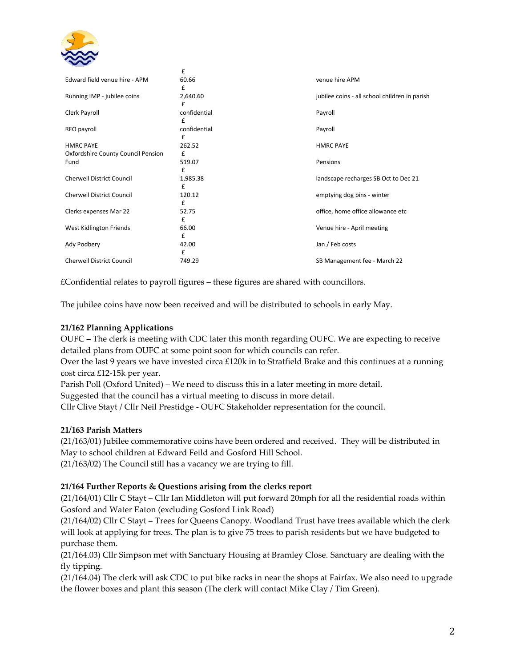

|                                            | £                 |                                               |
|--------------------------------------------|-------------------|-----------------------------------------------|
| Edward field venue hire - APM              | 60.66<br>£        | venue hire APM                                |
| Running IMP - jubilee coins                | 2,640.60<br>£     | jubilee coins - all school children in parish |
| Clerk Payroll                              | confidential<br>£ | Payroll                                       |
| RFO payroll                                | confidential<br>£ | Payroll                                       |
| <b>HMRC PAYE</b>                           | 262.52            | <b>HMRC PAYE</b>                              |
| Oxfordshire County Council Pension<br>Fund | £<br>519.07       | Pensions                                      |
|                                            | £                 |                                               |
| <b>Cherwell District Council</b>           | 1,985.38<br>£     | landscape recharges SB Oct to Dec 21          |
| <b>Cherwell District Council</b>           | 120.12<br>£       | emptying dog bins - winter                    |
| Clerks expenses Mar 22                     | 52.75             | office, home office allowance etc             |
| West Kidlington Friends                    | £<br>66.00        | Venue hire - April meeting                    |
| Ady Podbery                                | £<br>42.00        | Jan / Feb costs                               |
|                                            | £                 |                                               |
| <b>Cherwell District Council</b>           | 749.29            | SB Management fee - March 22                  |

£Confidential relates to payroll figures – these figures are shared with councillors.

The jubilee coins have now been received and will be distributed to schools in early May.

#### **21/162 Planning Applications**

OUFC – The clerk is meeting with CDC later this month regarding OUFC. We are expecting to receive detailed plans from OUFC at some point soon for which councils can refer.

Over the last 9 years we have invested circa £120k in to Stratfield Brake and this continues at a running cost circa £12-15k per year.

Parish Poll (Oxford United) – We need to discuss this in a later meeting in more detail.

Suggested that the council has a virtual meeting to discuss in more detail.

Cllr Clive Stayt / Cllr Neil Prestidge - OUFC Stakeholder representation for the council.

#### **21/163 Parish Matters**

(21/163/01) Jubilee commemorative coins have been ordered and received. They will be distributed in May to school children at Edward Feild and Gosford Hill School.

(21/163/02) The Council still has a vacancy we are trying to fill.

#### **21/164 Further Reports & Questions arising from the clerks report**

(21/164/01) Cllr C Stayt – Cllr Ian Middleton will put forward 20mph for all the residential roads within Gosford and Water Eaton (excluding Gosford Link Road)

(21/164/02) Cllr C Stayt – Trees for Queens Canopy. Woodland Trust have trees available which the clerk will look at applying for trees. The plan is to give 75 trees to parish residents but we have budgeted to purchase them.

(21/164.03) Cllr Simpson met with Sanctuary Housing at Bramley Close. Sanctuary are dealing with the fly tipping.

(21/164.04) The clerk will ask CDC to put bike racks in near the shops at Fairfax. We also need to upgrade the flower boxes and plant this season (The clerk will contact Mike Clay / Tim Green).